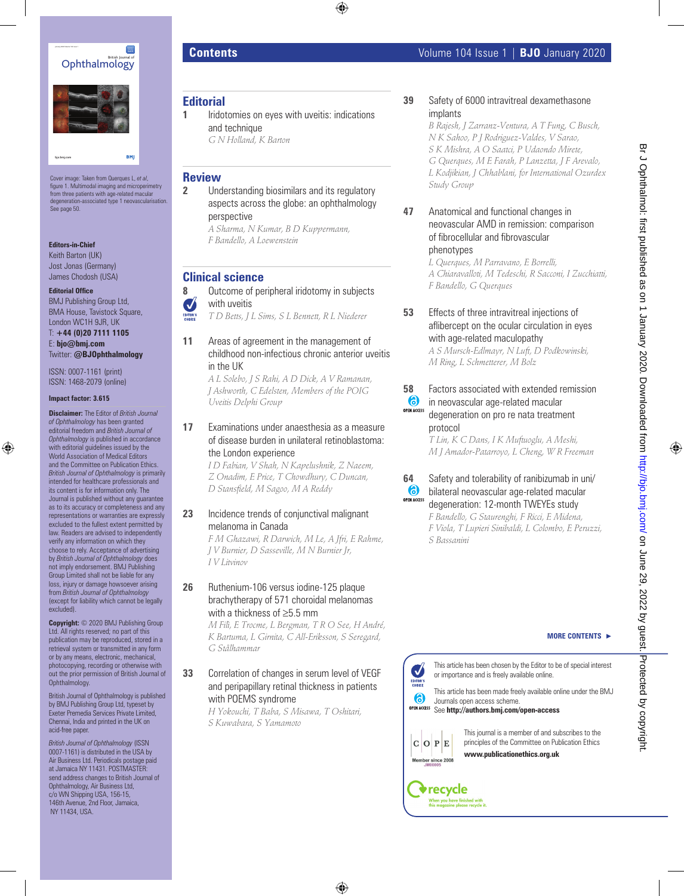



Cover image: Taken from Querques L, *et al*, figure 1. Multimodal imaging and microperimetry from three patients with age-related macular degeneration-associated type 1 neovascularisation. See page 50.

#### **Editors-in-Chief**

**bjo.bmj.com**

Keith Barton (UK) Jost Jonas (Germany) James Chodosh (USA)

**Editorial Office**

BMJ Publishing Group Ltd, BMA House, Tavistock Square, London WC1H 9JR, UK

T: **+44 (0)20 7111 1105** E: **bjo@bmj.com** Twitter: **@BJOphthalmology**

ISSN: 0007-1161 (print) ISSN: 1468-2079 (online)

#### **Impact factor: 3.615**

**Disclaimer:** The Editor of *British Journal of Ophthalmology* has been granted editorial freedom and *British Journal of Ophthalmology* is published in accordance with editorial guidelines issued by the World Association of Medical Editors and the Committee on Publication Ethics. *British Journal of Ophthalmology* is primarily intended for healthcare professionals and its content is for information only. The Journal is published without any guarantee as to its accuracy or completeness and any representations or warranties are expressly excluded to the fullest extent permitted by law. Readers are advised to independently verify any information on which they choose to rely. Acceptance of advertising by *British Journal of Ophthalmology* does not imply endorsement. BMJ Publishing Group Limited shall not be liable for any loss, injury or damage howsoever arising from *British Journal of Ophthalmology* (except for liability which cannot be legally excluded).

**Copyright:** © 2020 BMJ Publishing Group Ltd. All rights reserved; no part of this publication may be reproduced, stored in a retrieval system or transmitted in any form or by any means, electronic, mechanical, photocopying, recording or otherwise with out the prior permission of British Journal of Ophthalmology.

British Journal of Ophthalmology is published by BMJ Publishing Group Ltd, typeset by Exeter Premedia Services Private Limited, Chennai, India and printed in the UK on acid-free paper.

*British Journal of Ophthalmology* (ISSN 0007-1161) is distributed in the USA by Air Business Ltd. Periodicals postage paid at Jamaica NY 11431. POSTMASTER: send address changes to British Journal of Ophthalmology, Air Business Ltd, c/o WN Shipping USA, 156-15, 146th Avenue, 2nd Floor, Jamaica, NY 11434, USA.

### **Editorial**

**1** Iridotomies on eves with uveitis: indications and technique *G N Holland, K Barton*

#### **Review**

**2** Understanding biosimilars and its regulatory aspects across the globe: an ophthalmology perspective *A Sharma, N Kumar, B D Kuppermann,* 

*F Bandello, A Loewenstein*

# **Clinical science**

**8** Outcome of peripheral iridotomy in subjects  $\boldsymbol{U}$ with uveitis

*T D Betts, J L Sims, S L Bennett, R L Niederer*

**11** Areas of agreement in the management of childhood non-infectious chronic anterior uveitis in the UK

*A L Solebo, J S Rahi, A D Dick, A V Ramanan, J Ashworth, C Edelsten, Members of the POIG Uveitis Delphi Group*

**17** Examinations under anaesthesia as a measure of disease burden in unilateral retinoblastoma: the London experience

*I D Fabian, V Shah, N Kapelushnik, Z Naeem, Z Onadim, E Price, T Chowdhury, C Duncan, D Stansfield, M Sagoo, M A Reddy*

# **23** Incidence trends of conjunctival malignant melanoma in Canada

*F M Ghazawi, R Darwich, M Le, A Jfri, E Rahme, J V Burnier, D Sasseville, M N Burnier Jr, I V Litvinov*

## **26** Ruthenium-106 versus iodine-125 plaque brachytherapy of 571 choroidal melanomas with a thickness of ≥5.5 mm

*M Filì, E Trocme, L Bergman, T R O See, H André, K Bartuma, L Girnita, C All-Eriksson, S Seregard, G Stålhammar*

## **33** Correlation of changes in serum level of VEGF and peripapillary retinal thickness in patients with POEMS syndrome

*H Yokouchi, T Baba, S Misawa, T Oshitari, S Kuwabara, S Yamamoto*

# **39** Safety of 6000 intravitreal dexamethasone implants

*B Rajesh, J Zarranz-Ventura, A T Fung, C Busch, N K Sahoo, P J Rodriguez-Valdes, V Sarao, S K Mishra, A O Saatci, P Udaondo Mirete, G Querques, M E Farah, P Lanzetta, J F Arevalo, L Kodjikian, J Chhablani, for International Ozurdex Study Group*

**47** Anatomical and functional changes in neovascular AMD in remission: comparison of fibrocellular and fibrovascular phenotypes

> *L Querques, M Parravano, E Borrelli, A Chiaravalloti, M Tedeschi, R Sacconi, I Zucchiatti, F Bandello, G Querques*

**53** Effects of three intravitreal injections of aflibercept on the ocular circulation in eyes with age-related maculopathy

*A S Mursch-Edlmayr, N Luft, D Podkowinski, M Ring, L Schmetterer, M Bolz*

## **58** Factors associated with extended remission

#### $\bullet$ in neovascular age-related macular OPEN ACCESS degeneration on pro re nata treatment protocol

*T Lin, K C Dans, I K Muftuoglu, A Meshi, M J Amador-Patarroyo, L Cheng, W R Freeman*

#### **64** Safety and tolerability of ranibizumab in uni/ 6) bilateral neovascular age-related macular **OPEN ACCESS**

degeneration: 12-month TWEYEs study *F Bandello, G Staurenghi, F Ricci, E Midena, F Viola, T Lupieri Sinibaldi, L Colombo, E Peruzzi, S Bassanini*

#### **MORE CONTENTS >**

This article has been chosen by the Editor to be of special interest  $\boldsymbol{\mathcal{J}}$ or importance and is freely available online. EDITOR'S

This article has been made freely available online under the BMJ Journals open access scheme. See **http://authors.bmj.com/open-access**

 $C$  O  $P$  E Member since 2008

6

This journal is a member of and subscribes to the principles of the Committee on Publication Ethics **www.publicationethics.org.uk**